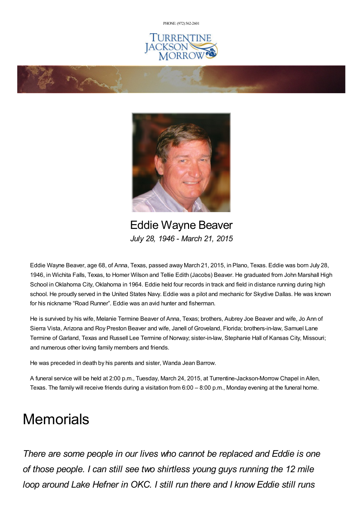PHONE: (972) [562-2601](tel:(972) 562-2601)







Eddie Wayne Beaver *July 28, 1946 - March 21, 2015*

Eddie Wayne Beaver, age 68, of Anna, Texas, passed away March 21, 2015, in Plano, Texas. Eddie was born July 28, 1946, in Wichita Falls, Texas, to Homer Wilson and Tellie Edith (Jacobs) Beaver. He graduated from John Marshall High School in Oklahoma City, Oklahoma in 1964. Eddie held four records in track and field in distance running during high school. He proudly served in the United States Navy. Eddie was a pilot and mechanic for Skydive Dallas. He was known for his nickname "Road Runner". Eddie was an avid hunter and fisherman.

He is survived by his wife, Melanie Termine Beaver of Anna, Texas; brothers, Aubrey Joe Beaver and wife, Jo Ann of Sierra Vista, Arizona and Roy Preston Beaver and wife, Janell of Groveland, Florida; brothers-in-law, Samuel Lane Termine of Garland, Texas and Russell Lee Termine of Norway; sister-in-law, Stephanie Hall of Kansas City, Missouri; and numerous other loving family members and friends.

He was preceded in death by his parents and sister, Wanda Jean Barrow.

A funeral service will be held at 2:00 p.m., Tuesday, March 24, 2015, at Turrentine-Jackson-Morrow Chapel in Allen, Texas. The family will receive friends during a visitation from 6:00 – 8:00 p.m., Monday evening at the funeral home.

## **Memorials**

*There are some people in our lives who cannot be replaced and Eddie is one of those people. I can still see two shirtless young guys running the 12 mile loop around Lake Hefner in OKC. I still run there and I know Eddie still runs*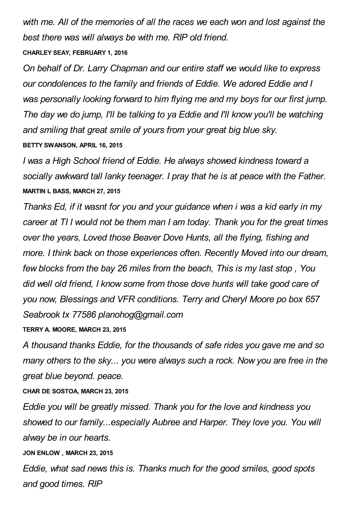*with me. All of the memories of all the races we each won and lost against the best there was will always be with me. RIP old friend.*

## **CHARLEY SEAY, FEBRUARY 1, 2016**

*On behalf of Dr. Larry Chapman and our entire staff we would like to express our condolences to the family and friends of Eddie. We adored Eddie and I was personally looking forward to him flying me and my boys for our first jump. The day we do jump, I'll be talking to ya Eddie and I'll know you'll be watching and smiling that great smile of yours from your great big blue sky.* **BETTY SWANSON, APRIL 16, 2015**

*I was a High School friend of Eddie. He always showed kindness toward a socially awkward tall lanky teenager. I pray that he is at peace with the Father.* **MARTIN L BASS, MARCH 27, 2015**

*Thanks Ed, if it wasnt for you and your guidance when i was a kid early in my career at TI I would not be them man I am today. Thank you for the great times over the years, Loved those Beaver Dove Hunts, all the flying, fishing and more. I think back on those experiences often. Recently Moved into our dream, few blocks from the bay 26 miles from the beach, This is my last stop , You did well old friend, I know some from those dove hunts will take good care of you now, Blessings and VFR conditions. Terry and Cheryl Moore po box 657 Seabrook tx 77586 planohog@gmail.com*

**TERRY A. MOORE, MARCH 23, 2015**

*A thousand thanks Eddie, for the thousands of safe rides you gave me and so many others to the sky... you were always such a rock. Now you are free in the great blue beyond. peace.*

**CHAR DE SOSTOA, MARCH 23, 2015**

*Eddie you will be greatly missed. Thank you for the love and kindness you showed to our family...especially Aubree and Harper. They love you. You will alway be in our hearts.*

**JON ENLOW , MARCH 23, 2015**

*Eddie, what sad news this is. Thanks much for the good smiles, good spots and good times. RIP*